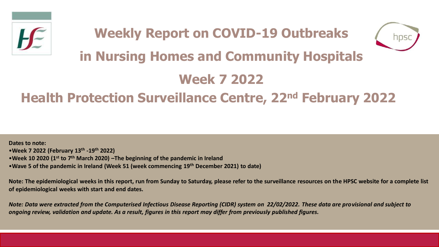



# **in Nursing Homes and Community Hospitals**

# **Week 7 2022**

## **Health Protection Surveillance Centre, 22nd February 2022**

**Dates to note:** •**Week 7 2022 (February 13th -19th 2022)** •**Week 10 2020 (1st to 7th March 2020) –The beginning of the pandemic in Ireland**  •**Wave 5 of the pandemic in Ireland (Week 51 (week commencing 19th December 2021) to date)**

**Note: The epidemiological weeks in this report, run from Sunday to Saturday, please refer to the surveillance resources on the HPSC website for a complete list of epidemiological weeks with start and end dates.**

*Note: Data were extracted from the Computerised Infectious Disease Reporting (CIDR) system on 22/02/2022. These data are provisional and subject to ongoing review, validation and update. As a result, figures in this report may differ from previously published figures.*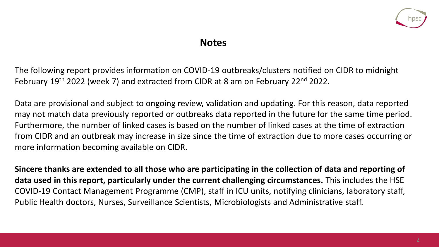

### **Notes**

The following report provides information on COVID-19 outbreaks/clusters notified on CIDR to midnight February 19<sup>th</sup> 2022 (week 7) and extracted from CIDR at 8 am on February 22<sup>nd</sup> 2022.

Data are provisional and subject to ongoing review, validation and updating. For this reason, data reported may not match data previously reported or outbreaks data reported in the future for the same time period. Furthermore, the number of linked cases is based on the number of linked cases at the time of extraction from CIDR and an outbreak may increase in size since the time of extraction due to more cases occurring or more information becoming available on CIDR.

**Sincere thanks are extended to all those who are participating in the collection of data and reporting of data used in this report, particularly under the current challenging circumstances.** This includes the HSE COVID-19 Contact Management Programme (CMP), staff in ICU units, notifying clinicians, laboratory staff, Public Health doctors, Nurses, Surveillance Scientists, Microbiologists and Administrative staff.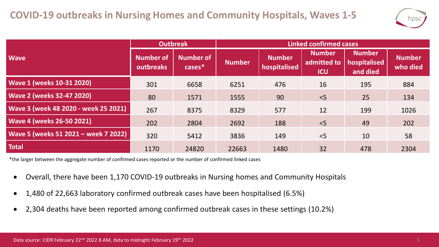

|                                      | <b>Outbreak</b>               |                            | <b>Linked confirmed cases</b> |                               |                                            |                                           |                           |  |
|--------------------------------------|-------------------------------|----------------------------|-------------------------------|-------------------------------|--------------------------------------------|-------------------------------------------|---------------------------|--|
| <b>Wave</b>                          | <b>Number of</b><br>outbreaks | <b>Number of</b><br>cases* | <b>Number</b>                 | <b>Number</b><br>hospitalised | <b>Number</b><br>admitted to<br><b>ICU</b> | <b>Number</b><br>hospitalised<br>and died | <b>Number</b><br>who died |  |
| <b>Wave 1 (weeks 10-31 2020)</b>     | 301                           | 6658                       | 6251                          | 476                           | 16                                         | 195                                       | 884                       |  |
| <b>Wave 2 (weeks 32-47 2020)</b>     | 80                            | 1571                       | 1555                          | 90                            | < 5                                        | 25                                        | 134                       |  |
| Wave 3 (week 48 2020 - week 25 2021) | 267                           | 8375                       | 8329                          | 577                           | 12                                         | 199                                       | 1026                      |  |
| <b>Wave 4 (weeks 26-50 2021)</b>     | 202                           | 2804                       | 2692                          | 188                           | < 5                                        | 49                                        | 202                       |  |
| Wave 5 (weeks 51 2021 - week 7 2022) | 320                           | 5412                       | 3836                          | 149                           | $<$ 5                                      | 10                                        | 58                        |  |
| <b>Total</b>                         | 1170                          | 24820                      | 22663                         | 1480                          | 32                                         | 478                                       | 2304                      |  |

\*the larger between the aggregate number of confirmed cases reported or the number of confirmed linked cases

- Overall, there have been 1,170 COVID-19 outbreaks in Nursing homes and Community Hospitals
- 1,480 of 22,663 laboratory confirmed outbreak cases have been hospitalised (6.5%)
- 2,304 deaths have been reported among confirmed outbreak cases in these settings (10.2%)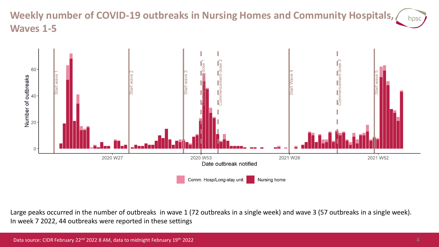#### **Weekly number of COVID-19 outbreaks in Nursing Homes and Community Hospitals,**  hpsc **Waves 1-5**



Large peaks occurred in the number of outbreaks in wave 1 (72 outbreaks in a single week) and wave 3 (57 outbreaks in a single week). In week 7 2022, 44 outbreaks were reported in these settings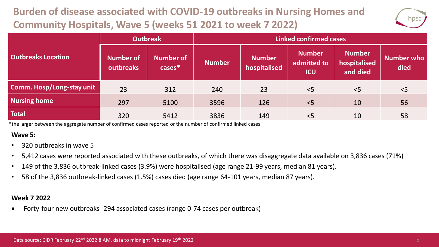## **Burden of disease associated with COVID-19 outbreaks in Nursing Homes and Community Hospitals, Wave 5 (weeks 51 2021 to week 7 2022)**



|                           | <b>Outbreak</b>        |                               | <b>Linked confirmed cases</b> |                               |                                            |                                           |                    |  |
|---------------------------|------------------------|-------------------------------|-------------------------------|-------------------------------|--------------------------------------------|-------------------------------------------|--------------------|--|
| <b>Outbreaks Location</b> | Number of<br>outbreaks | <b>Number of</b><br>$cases^*$ | <b>Number</b>                 | <b>Number</b><br>hospitalised | <b>Number</b><br>admitted to<br><b>ICU</b> | <b>Number</b><br>hospitalised<br>and died | Number who<br>died |  |
| Comm. Hosp/Long-stay unit | 23                     | 312                           | 240                           | 23                            | < 5                                        | < 5                                       | < 5                |  |
| <b>Nursing home</b>       | 297                    | 5100                          | 3596                          | 126                           | < 5                                        | 10                                        | 56                 |  |
| <b>Total</b>              | 320                    | 5412                          | 3836                          | 149                           | < 5                                        | 10                                        | 58                 |  |

\*the larger between the aggregate number of confirmed cases reported or the number of confirmed linked cases

#### **Wave 5:**

- 320 outbreaks in wave 5
- 5,412 cases were reported associated with these outbreaks, of which there was disaggregate data available on 3,836 cases (71%)
- 149 of the 3,836 outbreak-linked cases (3.9%) were hospitalised (age range 21-99 years, median 81 years).
- 58 of the 3,836 outbreak-linked cases (1.5%) cases died (age range 64-101 years, median 87 years).

#### **Week 7 2022**

• Forty-four new outbreaks -294 associated cases (range 0-74 cases per outbreak)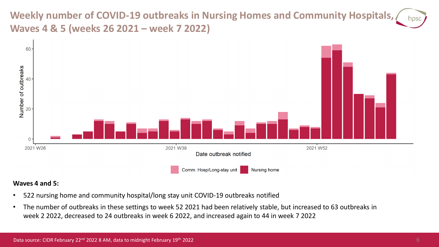**Weekly number of COVID-19 outbreaks in Nursing Homes and Community Hospitals, Waves 4 & 5 (weeks 26 2021 – week 7 2022)**



#### **Waves 4 and 5:**

- 522 nursing home and community hospital/long stay unit COVID-19 outbreaks notified
- The number of outbreaks in these settings to week 52 2021 had been relatively stable, but increased to 63 outbreaks in week 2 2022, decreased to 24 outbreaks in week 6 2022, and increased again to 44 in week 7 2022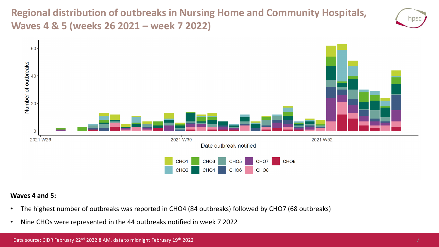**Regional distribution of outbreaks in Nursing Home and Community Hospitals, Waves 4 & 5 (weeks 26 2021 – week 7 2022)**





#### **Waves 4 and 5:**

- The highest number of outbreaks was reported in CHO4 (84 outbreaks) followed by CHO7 (68 outbreaks)
- Nine CHOs were represented in the 44 outbreaks notified in week 7 2022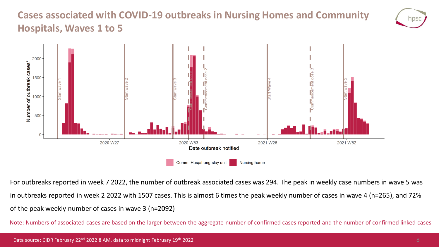### **Cases associated with COVID-19 outbreaks in Nursing Homes and Community Hospitals, Waves 1 to 5**





For outbreaks reported in week 7 2022, the number of outbreak associated cases was 294. The peak in weekly case numbers in wave 5 was in outbreaks reported in week 2 2022 with 1507 cases. This is almost 6 times the peak weekly number of cases in wave 4 (n=265), and 72% of the peak weekly number of cases in wave 3 (n=2092)

Note: Numbers of associated cases are based on the larger between the aggregate number of confirmed cases reported and the number of confirmed linked cases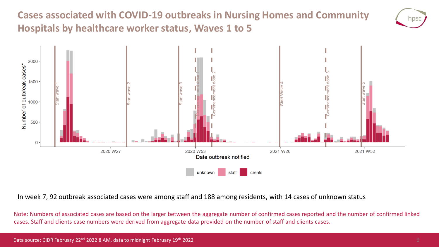**Cases associated with COVID-19 outbreaks in Nursing Homes and Community Hospitals by healthcare worker status, Waves 1 to 5**





In week 7, 92 outbreak associated cases were among staff and 188 among residents, with 14 cases of unknown status

Note: Numbers of associated cases are based on the larger between the aggregate number of confirmed cases reported and the number of confirmed linked cases. Staff and clients case numbers were derived from aggregate data provided on the number of staff and clients cases.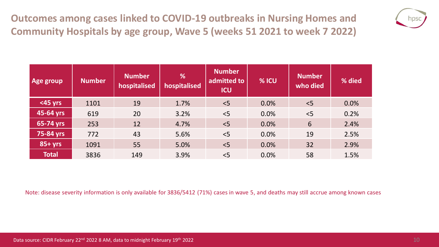**Outcomes among cases linked to COVID-19 outbreaks in Nursing Homes and Community Hospitals by age group, Wave 5 (weeks 51 2021 to week 7 2022)**



| Age group    | <b>Number</b> | <b>Number</b><br>hospitalised | %<br>hospitalised | <b>Number</b><br>admitted to<br><b>ICU</b> | % ICU | <b>Number</b><br>who died | % died |
|--------------|---------------|-------------------------------|-------------------|--------------------------------------------|-------|---------------------------|--------|
| $<$ 45 yrs   | 1101          | 19                            | 1.7%              | < 5                                        | 0.0%  | < 5                       | 0.0%   |
| 45-64 yrs    | 619           | 20                            | 3.2%              | < 5                                        | 0.0%  | $<$ 5                     | 0.2%   |
| 65-74 yrs    | 253           | 12                            | 4.7%              | < 5                                        | 0.0%  | 6                         | 2.4%   |
| 75-84 yrs    | 772           | 43                            | 5.6%              | < 5                                        | 0.0%  | 19                        | 2.5%   |
| $85 + yrs$   | 1091          | 55                            | 5.0%              | $\leq$                                     | 0.0%  | 32                        | 2.9%   |
| <b>Total</b> | 3836          | 149                           | 3.9%              | < 5                                        | 0.0%  | 58                        | 1.5%   |

Note: disease severity information is only available for 3836/5412 (71%) cases in wave 5, and deaths may still accrue among known cases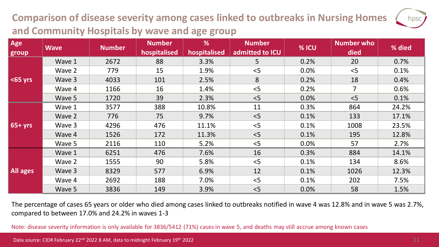## **Comparison of disease severity among cases linked to outbreaks in Nursing Homes and Community Hospitals by wave and age group**

| Age<br>group    | <b>Wave</b> | <b>Number</b> | <b>Number</b><br>hospitalised | %<br>hospitalised | <b>Number</b><br>admitted to ICU | % ICU | Number who<br>died | % died |
|-----------------|-------------|---------------|-------------------------------|-------------------|----------------------------------|-------|--------------------|--------|
| $ $ <65 yrs     | Wave 1      | 2672          | 88                            | 3.3%              | 5                                | 0.2%  | 20                 | 0.7%   |
|                 | Wave 2      | 779           | 15                            | 1.9%              | < 5                              | 0.0%  | < 5                | 0.1%   |
|                 | Wave 3      | 4033          | 101                           | 2.5%              | 8                                | 0.2%  | 18                 | 0.4%   |
|                 | Wave 4      | 1166          | 16                            | 1.4%              | < 5                              | 0.2%  | $\overline{7}$     | 0.6%   |
|                 | Wave 5      | 1720          | 39                            | 2.3%              | < 5                              | 0.0%  | < 5                | 0.1%   |
| $65 + yrs$      | Wave 1      | 3577          | 388                           | 10.8%             | 11                               | 0.3%  | 864                | 24.2%  |
|                 | Wave 2      | 776           | 75                            | 9.7%              | < 5                              | 0.1%  | 133                | 17.1%  |
|                 | Wave 3      | 4296          | 476                           | 11.1%             | < 5                              | 0.1%  | 1008               | 23.5%  |
|                 | Wave 4      | 1526          | 172                           | 11.3%             | < 5                              | 0.1%  | 195                | 12.8%  |
|                 | Wave 5      | 2116          | 110                           | 5.2%              | < 5                              | 0.0%  | 57                 | 2.7%   |
| <b>All ages</b> | Wave 1      | 6251          | 476                           | 7.6%              | 16                               | 0.3%  | 884                | 14.1%  |
|                 | Wave 2      | 1555          | 90                            | 5.8%              | < 5                              | 0.1%  | 134                | 8.6%   |
|                 | Wave 3      | 8329          | 577                           | 6.9%              | 12                               | 0.1%  | 1026               | 12.3%  |
|                 | Wave 4      | 2692          | 188                           | 7.0%              | < 5                              | 0.1%  | 202                | 7.5%   |
|                 | Wave 5      | 3836          | 149                           | 3.9%              | < 5                              | 0.0%  | 58                 | 1.5%   |

The percentage of cases 65 years or older who died among cases linked to outbreaks notified in wave 4 was 12.8% and in wave 5 was 2.7%, compared to between 17.0% and 24.2% in waves 1-3

Note: disease severity information is only available for 3836/5412 (71%) cases in wave 5, and deaths may still accrue among known cases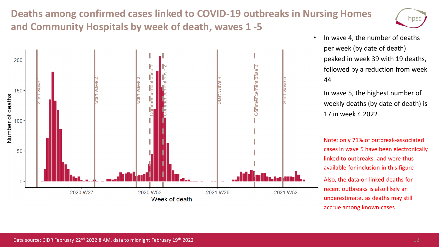### **Deaths among confirmed cases linked to COVID-19 outbreaks in Nursing Homes and Community Hospitals by week of death, waves 1 -5**





• In wave 4, the number of deaths per week (by date of death) peaked in week 39 with 19 deaths, followed by a reduction from week 44

• In wave 5, the highest number of weekly deaths (by date of death) is 17 in week 4 2022

• Note: only 71% of outbreak-associated cases in wave 5 have been electronically linked to outbreaks, and were thus available for inclusion in this figure • Also, the data on linked deaths for recent outbreaks is also likely an underestimate, as deaths may still accrue among known cases